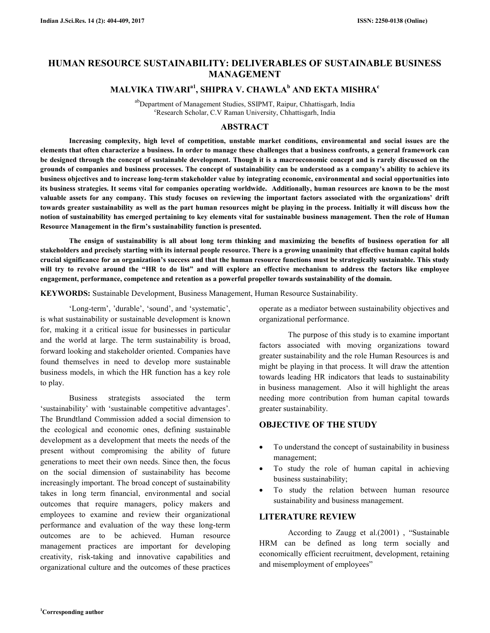# **HUMAN RESOURCE SUSTAINABILITY: DELIVERABLES OF SUSTAINABLE BUSINESS MANAGEMENT**

# **MALVIKA TIWARIa1, SHIPRA V. CHAWLA<sup>b</sup> AND EKTA MISHRA<sup>c</sup>**

abDepartment of Management Studies, SSIPMT, Raipur, Chhattisgarh, India <sup>c</sup>Research Scholar, C.V Raman University, Chhattisgarh, India

# **ABSTRACT**

 **Increasing complexity, high level of competition, unstable market conditions, environmental and social issues are the elements that often characterize a business. In order to manage these challenges that a business confronts, a general framework can be designed through the concept of sustainable development. Though it is a macroeconomic concept and is rarely discussed on the grounds of companies and business processes. The concept of sustainability can be understood as a company's ability to achieve its business objectives and to increase long-term stakeholder value by integrating economic, environmental and social opportunities into its business strategies. It seems vital for companies operating worldwide. Additionally, human resources are known to be the most valuable assets for any company. This study focuses on reviewing the important factors associated with the organizations' drift towards greater sustainability as well as the part human resources might be playing in the process. Initially it will discuss how the notion of sustainability has emerged pertaining to key elements vital for sustainable business management. Then the role of Human Resource Management in the firm's sustainability function is presented.** 

 **The ensign of sustainability is all about long term thinking and maximizing the benefits of business operation for all stakeholders and precisely starting with its internal people resource. There is a growing unanimity that effective human capital holds crucial significance for an organization's success and that the human resource functions must be strategically sustainable. This study will try to revolve around the "HR to do list" and will explore an effective mechanism to address the factors like employee engagement, performance, competence and retention as a powerful propeller towards sustainability of the domain.** 

**KEYWORDS:** Sustainable Development, Business Management, Human Resource Sustainability.

 'Long-term', 'durable', 'sound', and 'systematic', is what sustainability or sustainable development is known for, making it a critical issue for businesses in particular and the world at large. The term sustainability is broad, forward looking and stakeholder oriented. Companies have found themselves in need to develop more sustainable business models, in which the HR function has a key role to play.

 Business strategists associated the term 'sustainability' with 'sustainable competitive advantages'. The Brundtland Commission added a social dimension to the ecological and economic ones, defining sustainable development as a development that meets the needs of the present without compromising the ability of future generations to meet their own needs. Since then, the focus on the social dimension of sustainability has become increasingly important. The broad concept of sustainability takes in long term financial, environmental and social outcomes that require managers, policy makers and employees to examine and review their organizational performance and evaluation of the way these long-term outcomes are to be achieved. Human resource management practices are important for developing creativity, risk-taking and innovative capabilities and organizational culture and the outcomes of these practices operate as a mediator between sustainability objectives and organizational performance.

 The purpose of this study is to examine important factors associated with moving organizations toward greater sustainability and the role Human Resources is and might be playing in that process. It will draw the attention towards leading HR indicators that leads to sustainability in business management. Also it will highlight the areas needing more contribution from human capital towards greater sustainability.

# **OBJECTIVE OF THE STUDY**

- To understand the concept of sustainability in business management;
- To study the role of human capital in achieving business sustainability;
- To study the relation between human resource sustainability and business management.

# **LITERATURE REVIEW**

 According to Zaugg et al.(2001) , "Sustainable HRM can be defined as long term socially and economically efficient recruitment, development, retaining and misemployment of employees"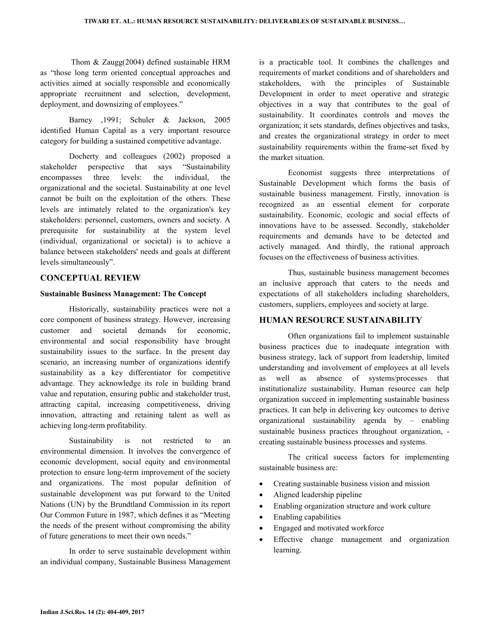Thom & Zaugg(2004) defined sustainable HRM as "those long term oriented conceptual approaches and activities aimed at socially responsible and economically appropriate recruitment and selection, development, deployment, and downsizing of employees."

 Barney ,1991; Schuler & Jackson, 2005 identified Human Capital as a very important resource category for building a sustained competitive advantage.

 Docherty and colleagues (2002) proposed a stakeholder perspective that says "Sustainability encompasses three levels: the individual, the organizational and the societal. Sustainability at one level cannot be built on the exploitation of the others. These levels are intimately related to the organization's key stakeholders: personnel, customers, owners and society. A prerequisite for sustainability at the system level (individual, organizational or societal) is to achieve a balance between stakeholders' needs and goals at different levels simultaneously".

# **CONCEPTUAL REVIEW**

## **Sustainable Business Management: The Concept**

 Historically, sustainability practices were not a core component of business strategy. However, increasing customer and societal demands for economic, environmental and social responsibility have brought sustainability issues to the surface. In the present day scenario, an increasing number of organizations identify sustainability as a key differentiator for competitive advantage. They acknowledge its role in building brand value and reputation, ensuring public and stakeholder trust, attracting capital, increasing competitiveness, driving innovation, attracting and retaining talent as well as achieving long-term profitability.

 Sustainability is not restricted to an environmental dimension. It involves the convergence of economic development, social equity and environmental protection to ensure long-term improvement of the society and organizations. The most popular definition of sustainable development was put forward to the United Nations (UN) by the Brundtland Commission in its report Our Common Future in 1987, which defines it as "Meeting the needs of the present without compromising the ability of future generations to meet their own needs."

 In order to serve sustainable development within an individual company, Sustainable Business Management is a practicable tool. It combines the challenges and requirements of market conditions and of shareholders and stakeholders, with the principles of Sustainable Development in order to meet operative and strategic objectives in a way that contributes to the goal of sustainability. It coordinates controls and moves the organization; it sets standards, defines objectives and tasks, and creates the organizational strategy in order to meet sustainability requirements within the frame-set fixed by the market situation.

 Economist suggests three interpretations of Sustainable Development which forms the basis of sustainable business management. Firstly, innovation is recognized as an essential element for corporate sustainability. Economic, ecologic and social effects of innovations have to be assessed. Secondly, stakeholder requirements and demands have to be detected and actively managed. And thirdly, the rational approach focuses on the effectiveness of business activities.

 Thus, sustainable business management becomes an inclusive approach that caters to the needs and expectations of all stakeholders including shareholders, customers, suppliers, employees and society at large.

## **HUMAN RESOURCE SUSTAINABILITY**

 Often organizations fail to implement sustainable business practices due to inadequate integration with business strategy, lack of support from leadership, limited understanding and involvement of employees at all levels as well as absence of systems/processes that institutionalize sustainability. Human resource can help organization succeed in implementing sustainable business practices. It can help in delivering key outcomes to derive organizational sustainability agenda by – enabling sustainable business practices throughout organization, creating sustainable business processes and systems.

 The critical success factors for implementing sustainable business are:

- Creating sustainable business vision and mission
- Aligned leadership pipeline
- Enabling organization structure and work culture
- Enabling capabilities
- Engaged and motivated workforce
- Effective change management and organization learning.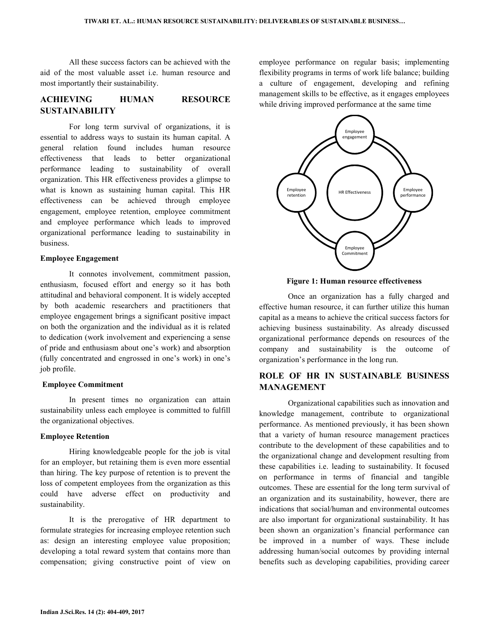All these success factors can be achieved with the aid of the most valuable asset i.e. human resource and most importantly their sustainability.

# **ACHIEVING HUMAN RESOURCE SUSTAINABILITY**

 For long term survival of organizations, it is essential to address ways to sustain its human capital. A general relation found includes human resource effectiveness that leads to better organizational performance leading to sustainability of overall organization. This HR effectiveness provides a glimpse to what is known as sustaining human capital. This HR effectiveness can be achieved through employee engagement, employee retention, employee commitment and employee performance which leads to improved organizational performance leading to sustainability in business.

#### **Employee Engagement**

 It connotes involvement, commitment passion, enthusiasm, focused effort and energy so it has both attitudinal and behavioral component. It is widely accepted by both academic researchers and practitioners that employee engagement brings a significant positive impact on both the organization and the individual as it is related to dedication (work involvement and experiencing a sense of pride and enthusiasm about one's work) and absorption (fully concentrated and engrossed in one's work) in one's job profile.

#### **Employee Commitment**

In present times no organization can attain sustainability unless each employee is committed to fulfill the organizational objectives.

### **Employee Retention**

 Hiring knowledgeable people for the job is vital for an employer, but retaining them is even more essential than hiring. The key purpose of retention is to prevent the loss of competent employees from the organization as this could have adverse effect on productivity and sustainability.

 It is the prerogative of HR department to formulate strategies for increasing employee retention such as: design an interesting employee value proposition; developing a total reward system that contains more than compensation; giving constructive point of view on employee performance on regular basis; implementing flexibility programs in terms of work life balance; building a culture of engagement, developing and refining management skills to be effective, as it engages employees while driving improved performance at the same time



**Figure 1: Human resource effectiveness** 

 Once an organization has a fully charged and effective human resource, it can further utilize this human capital as a means to achieve the critical success factors for achieving business sustainability. As already discussed organizational performance depends on resources of the company and sustainability is the outcome of organization's performance in the long run.

# **ROLE OF HR IN SUSTAINABLE BUSINESS MANAGEMENT**

 Organizational capabilities such as innovation and knowledge management, contribute to organizational performance. As mentioned previously, it has been shown that a variety of human resource management practices contribute to the development of these capabilities and to the organizational change and development resulting from these capabilities i.e. leading to sustainability. It focused on performance in terms of financial and tangible outcomes. These are essential for the long term survival of an organization and its sustainability, however, there are indications that social/human and environmental outcomes are also important for organizational sustainability. It has been shown an organization's financial performance can be improved in a number of ways. These include addressing human/social outcomes by providing internal benefits such as developing capabilities, providing career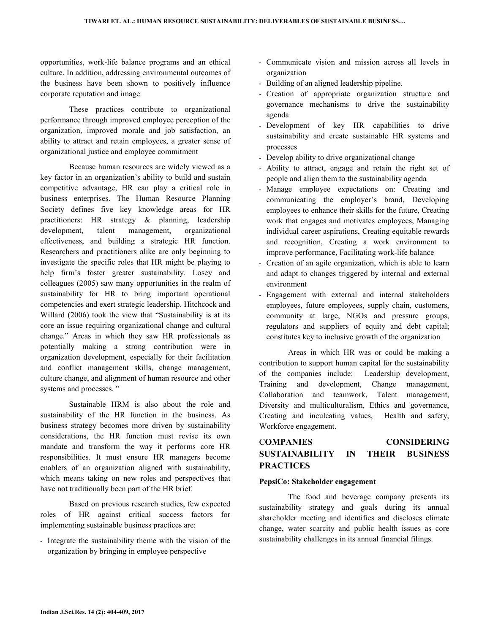opportunities, work-life balance programs and an ethical culture. In addition, addressing environmental outcomes of the business have been shown to positively influence corporate reputation and image

 These practices contribute to organizational performance through improved employee perception of the organization, improved morale and job satisfaction, an ability to attract and retain employees, a greater sense of organizational justice and employee commitment

 Because human resources are widely viewed as a key factor in an organization's ability to build and sustain competitive advantage, HR can play a critical role in business enterprises. The Human Resource Planning Society defines five key knowledge areas for HR practitioners: HR strategy & planning, leadership development, talent management, organizational effectiveness, and building a strategic HR function. Researchers and practitioners alike are only beginning to investigate the specific roles that HR might be playing to help firm's foster greater sustainability. Losey and colleagues (2005) saw many opportunities in the realm of sustainability for HR to bring important operational competencies and exert strategic leadership. Hitchcock and Willard (2006) took the view that "Sustainability is at its core an issue requiring organizational change and cultural change." Areas in which they saw HR professionals as potentially making a strong contribution were in organization development, especially for their facilitation and conflict management skills, change management, culture change, and alignment of human resource and other systems and processes. "

 Sustainable HRM is also about the role and sustainability of the HR function in the business. As business strategy becomes more driven by sustainability considerations, the HR function must revise its own mandate and transform the way it performs core HR responsibilities. It must ensure HR managers become enablers of an organization aligned with sustainability, which means taking on new roles and perspectives that have not traditionally been part of the HR brief.

 Based on previous research studies, few expected roles of HR against critical success factors for implementing sustainable business practices are:

- Integrate the sustainability theme with the vision of the organization by bringing in employee perspective

- Communicate vision and mission across all levels in organization
- Building of an aligned leadership pipeline.
- Creation of appropriate organization structure and governance mechanisms to drive the sustainability agenda
- Development of key HR capabilities to drive sustainability and create sustainable HR systems and processes
- Develop ability to drive organizational change
- Ability to attract, engage and retain the right set of people and align them to the sustainability agenda
- Manage employee expectations on: Creating and communicating the employer's brand, Developing employees to enhance their skills for the future, Creating work that engages and motivates employees, Managing individual career aspirations, Creating equitable rewards and recognition, Creating a work environment to improve performance, Facilitating work-life balance
- Creation of an agile organization, which is able to learn and adapt to changes triggered by internal and external environment
- Engagement with external and internal stakeholders employees, future employees, supply chain, customers, community at large, NGOs and pressure groups, regulators and suppliers of equity and debt capital; constitutes key to inclusive growth of the organization

 Areas in which HR was or could be making a contribution to support human capital for the sustainability of the companies include: Leadership development, Training and development, Change management, Collaboration and teamwork, Talent management, Diversity and multiculturalism, Ethics and governance, Creating and inculcating values, Health and safety, Workforce engagement.

# C**OMPANIES CONSIDERING SUSTAINABILITY IN THEIR BUSINESS PRACTICES**

## **PepsiCo: Stakeholder engagement**

 The food and beverage company presents its sustainability strategy and goals during its annual shareholder meeting and identifies and discloses climate change, water scarcity and public health issues as core sustainability challenges in its annual financial filings.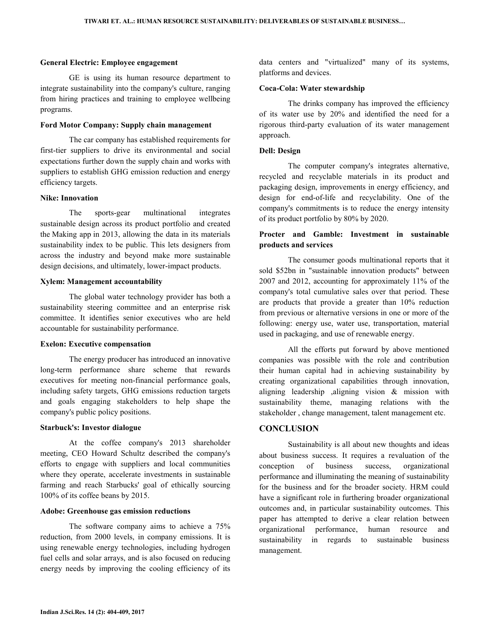### **General Electric: Employee engagement**

 GE is using its human resource department to integrate sustainability into the company's culture, ranging from hiring practices and training to employee wellbeing programs.

### **Ford Motor Company: Supply chain management**

 The car company has established requirements for first-tier suppliers to drive its environmental and social expectations further down the supply chain and works with suppliers to establish GHG emission reduction and energy efficiency targets.

#### **Nike: Innovation**

 The sports-gear multinational integrates sustainable design across its product portfolio and created the Making app in 2013, allowing the data in its materials sustainability index to be public. This lets designers from across the industry and beyond make more sustainable design decisions, and ultimately, lower-impact products.

#### **Xylem: Management accountability**

 The global water technology provider has both a sustainability steering committee and an enterprise risk committee. It identifies senior executives who are held accountable for sustainability performance.

#### **Exelon: Executive compensation**

 The energy producer has introduced an innovative long-term performance share scheme that rewards executives for meeting non-financial performance goals, including safety targets, GHG emissions reduction targets and goals engaging stakeholders to help shape the company's public policy positions.

#### **Starbuck's: Investor dialogue**

 At the coffee company's 2013 shareholder meeting, CEO Howard Schultz described the company's efforts to engage with suppliers and local communities where they operate, accelerate investments in sustainable farming and reach Starbucks' goal of ethically sourcing 100% of its coffee beans by 2015.

### **Adobe: Greenhouse gas emission reductions**

 The software company aims to achieve a 75% reduction, from 2000 levels, in company emissions. It is using renewable energy technologies, including hydrogen fuel cells and solar arrays, and is also focused on reducing energy needs by improving the cooling efficiency of its data centers and "virtualized" many of its systems, platforms and devices.

#### **Coca-Cola: Water stewardship**

 The drinks company has improved the efficiency of its water use by 20% and identified the need for a rigorous third-party evaluation of its water management approach.

## **Dell: Design**

 The computer company's integrates alternative, recycled and recyclable materials in its product and packaging design, improvements in energy efficiency, and design for end-of-life and recyclability. One of the company's commitments is to reduce the energy intensity of its product portfolio by 80% by 2020.

# **Procter and Gamble: Investment in sustainable products and services**

 The consumer goods multinational reports that it sold \$52bn in "sustainable innovation products" between 2007 and 2012, accounting for approximately 11% of the company's total cumulative sales over that period. These are products that provide a greater than 10% reduction from previous or alternative versions in one or more of the following: energy use, water use, transportation, material used in packaging, and use of renewable energy.

 All the efforts put forward by above mentioned companies was possible with the role and contribution their human capital had in achieving sustainability by creating organizational capabilities through innovation, aligning leadership ,aligning vision & mission with sustainability theme, managing relations with the stakeholder , change management, talent management etc.

## **CONCLUSION**

 Sustainability is all about new thoughts and ideas about business success. It requires a revaluation of the conception of business success, organizational performance and illuminating the meaning of sustainability for the business and for the broader society. HRM could have a significant role in furthering broader organizational outcomes and, in particular sustainability outcomes. This paper has attempted to derive a clear relation between organizational performance, human resource and sustainability in regards to sustainable business management.